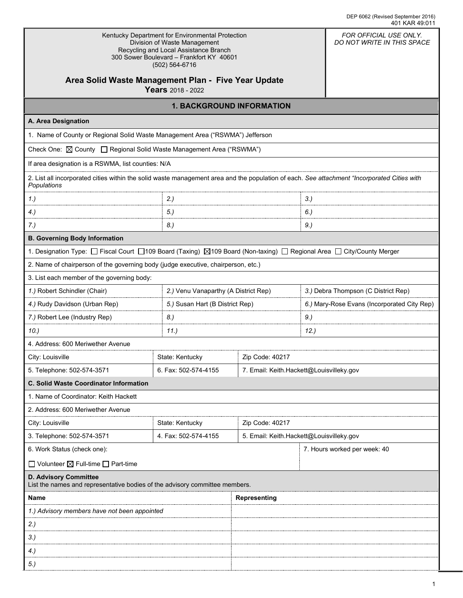| Kentucky Department for Environmental Protection<br>Division of Waste Management<br>Recycling and Local Assistance Branch<br>300 Sower Boulevard - Frankfort KY 40601<br>(502) 564-6716 | FOR OFFICIAL USE ONLY.<br>DO NOT WRITE IN THIS SPACE |                                          |        |                                             |  |  |
|-----------------------------------------------------------------------------------------------------------------------------------------------------------------------------------------|------------------------------------------------------|------------------------------------------|--------|---------------------------------------------|--|--|
| Area Solid Waste Management Plan - Five Year Update<br>Years 2018 - 2022                                                                                                                |                                                      |                                          |        |                                             |  |  |
| <b>1. BACKGROUND INFORMATION</b>                                                                                                                                                        |                                                      |                                          |        |                                             |  |  |
| A. Area Designation                                                                                                                                                                     |                                                      |                                          |        |                                             |  |  |
| 1. Name of County or Regional Solid Waste Management Area ("RSWMA") Jefferson                                                                                                           |                                                      |                                          |        |                                             |  |  |
| Check One: <b>△ County □ Regional Solid Waste Management Area ("RSWMA")</b>                                                                                                             |                                                      |                                          |        |                                             |  |  |
| If area designation is a RSWMA, list counties: N/A                                                                                                                                      |                                                      |                                          |        |                                             |  |  |
| 2. List all incorporated cities within the solid waste management area and the population of each. See attachment "Incorporated Cities with<br>Populations                              |                                                      |                                          |        |                                             |  |  |
| 1.                                                                                                                                                                                      | 2.)                                                  |                                          | $3.$ ) |                                             |  |  |
| 4.                                                                                                                                                                                      | 5.)                                                  |                                          | 6.)    |                                             |  |  |
| 7.)                                                                                                                                                                                     | 8.)                                                  |                                          | 9.     |                                             |  |  |
| <b>B. Governing Body Information</b>                                                                                                                                                    |                                                      |                                          |        |                                             |  |  |
| 1. Designation Type: □ Fiscal Court □109 Board (Taxing) ⊠109 Board (Non-taxing) □ Regional Area □ City/County Merger                                                                    |                                                      |                                          |        |                                             |  |  |
| 2. Name of chairperson of the governing body (judge executive, chairperson, etc.)                                                                                                       |                                                      |                                          |        |                                             |  |  |
| 3. List each member of the governing body:                                                                                                                                              |                                                      |                                          |        |                                             |  |  |
| 1.) Robert Schindler (Chair)                                                                                                                                                            | 2.) Venu Vanaparthy (A District Rep)                 |                                          |        | 3.) Debra Thompson (C District Rep)         |  |  |
| 4.) Rudy Davidson (Urban Rep)                                                                                                                                                           |                                                      | 5.) Susan Hart (B District Rep)          |        | 6.) Mary-Rose Evans (Incorporated City Rep) |  |  |
| 7.) Robert Lee (Industry Rep)                                                                                                                                                           | 8.)                                                  | 9.)                                      |        |                                             |  |  |
| 10.)                                                                                                                                                                                    | 11.)                                                 |                                          | 12.    |                                             |  |  |
| 4. Address: 600 Meriwether Avenue                                                                                                                                                       |                                                      |                                          |        |                                             |  |  |
| City: Louisville                                                                                                                                                                        | State: Kentucky                                      | Zip Code: 40217                          |        |                                             |  |  |
| 5. Telephone: 502-574-3571                                                                                                                                                              | 6. Fax: 502-574-4155                                 | 7. Email: Keith.Hackett@Louisvilleky.gov |        |                                             |  |  |
| C. Solid Waste Coordinator Information                                                                                                                                                  |                                                      |                                          |        |                                             |  |  |
| 1. Name of Coordinator: Keith Hackett                                                                                                                                                   |                                                      |                                          |        |                                             |  |  |
| 2. Address: 600 Meriwether Avenue                                                                                                                                                       |                                                      |                                          |        |                                             |  |  |
| City: Louisville                                                                                                                                                                        | State: Kentucky                                      | Zip Code: 40217                          |        |                                             |  |  |
| 3. Telephone: 502-574-3571                                                                                                                                                              | 4. Fax: 502-574-4155                                 | 5. Email: Keith.Hackett@Louisvilleky.gov |        |                                             |  |  |
| 6. Work Status (check one):                                                                                                                                                             |                                                      |                                          |        | 7. Hours worked per week: 40                |  |  |
| $\Box$ Volunteer $\boxtimes$ Full-time $\Box$ Part-time                                                                                                                                 |                                                      |                                          |        |                                             |  |  |
| <b>D. Advisory Committee</b><br>List the names and representative bodies of the advisory committee members.                                                                             |                                                      |                                          |        |                                             |  |  |
| Name                                                                                                                                                                                    |                                                      | <b>Representing</b>                      |        |                                             |  |  |
| 1.) Advisory members have not been appointed                                                                                                                                            |                                                      |                                          |        |                                             |  |  |
| 2.)                                                                                                                                                                                     |                                                      |                                          |        |                                             |  |  |
| 3.                                                                                                                                                                                      |                                                      |                                          |        |                                             |  |  |
| 4.)                                                                                                                                                                                     |                                                      |                                          |        |                                             |  |  |
| $5.$ )                                                                                                                                                                                  |                                                      |                                          |        |                                             |  |  |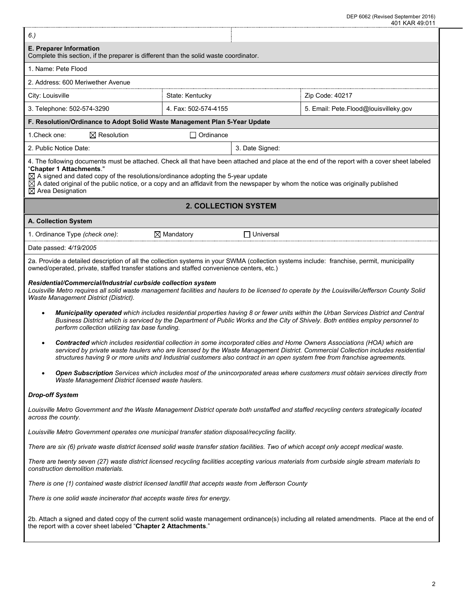| 6.)                                                                                                                                                                                                                                                                                                                                                                                                                                                     |                       |                             |                                                                                                                                                                                                                                                                        |  |  |  |  |
|---------------------------------------------------------------------------------------------------------------------------------------------------------------------------------------------------------------------------------------------------------------------------------------------------------------------------------------------------------------------------------------------------------------------------------------------------------|-----------------------|-----------------------------|------------------------------------------------------------------------------------------------------------------------------------------------------------------------------------------------------------------------------------------------------------------------|--|--|--|--|
| E. Preparer Information<br>Complete this section, if the preparer is different than the solid waste coordinator.                                                                                                                                                                                                                                                                                                                                        |                       |                             |                                                                                                                                                                                                                                                                        |  |  |  |  |
| 1. Name: Pete Flood                                                                                                                                                                                                                                                                                                                                                                                                                                     |                       |                             |                                                                                                                                                                                                                                                                        |  |  |  |  |
| 2. Address: 600 Meriwether Avenue                                                                                                                                                                                                                                                                                                                                                                                                                       |                       |                             |                                                                                                                                                                                                                                                                        |  |  |  |  |
| City: Louisville                                                                                                                                                                                                                                                                                                                                                                                                                                        | State: Kentucky       |                             | Zip Code: 40217                                                                                                                                                                                                                                                        |  |  |  |  |
| 3. Telephone: 502-574-3290                                                                                                                                                                                                                                                                                                                                                                                                                              | 4. Fax: 502-574-4155  |                             | 5. Email: Pete.Flood@louisvilleky.gov                                                                                                                                                                                                                                  |  |  |  |  |
| F. Resolution/Ordinance to Adopt Solid Waste Management Plan 5-Year Update                                                                                                                                                                                                                                                                                                                                                                              |                       |                             |                                                                                                                                                                                                                                                                        |  |  |  |  |
| 1. Check one:<br>$\boxtimes$ Resolution                                                                                                                                                                                                                                                                                                                                                                                                                 | $\Box$ Ordinance      |                             |                                                                                                                                                                                                                                                                        |  |  |  |  |
| 2. Public Notice Date:                                                                                                                                                                                                                                                                                                                                                                                                                                  |                       | 3. Date Signed:             |                                                                                                                                                                                                                                                                        |  |  |  |  |
| 4. The following documents must be attached. Check all that have been attached and place at the end of the report with a cover sheet labeled<br>"Chapter 1 Attachments."<br>$\boxtimes$ A signed and dated copy of the resolutions/ordinance adopting the 5-year update<br>$\boxtimes$ A dated original of the public notice, or a copy and an affidavit from the newspaper by whom the notice was originally published<br>$\boxtimes$ Area Designation |                       |                             |                                                                                                                                                                                                                                                                        |  |  |  |  |
|                                                                                                                                                                                                                                                                                                                                                                                                                                                         |                       | <b>2. COLLECTION SYSTEM</b> |                                                                                                                                                                                                                                                                        |  |  |  |  |
| A. Collection System                                                                                                                                                                                                                                                                                                                                                                                                                                    |                       |                             |                                                                                                                                                                                                                                                                        |  |  |  |  |
| 1. Ordinance Type (check one):                                                                                                                                                                                                                                                                                                                                                                                                                          | $\boxtimes$ Mandatory | $\Box$ Universal            |                                                                                                                                                                                                                                                                        |  |  |  |  |
| Date passed: 4/19/2005                                                                                                                                                                                                                                                                                                                                                                                                                                  |                       |                             |                                                                                                                                                                                                                                                                        |  |  |  |  |
| 2a. Provide a detailed description of all the collection systems in your SWMA (collection systems include: franchise, permit, municipality<br>owned/operated, private, staffed transfer stations and staffed convenience centers, etc.)                                                                                                                                                                                                                 |                       |                             |                                                                                                                                                                                                                                                                        |  |  |  |  |
| Residential/Commercial/Industrial curbside collection system<br>Louisville Metro requires all solid waste management facilities and haulers to be licensed to operate by the Louisville/Jefferson County Solid<br>Waste Management District (District).                                                                                                                                                                                                 |                       |                             |                                                                                                                                                                                                                                                                        |  |  |  |  |
| $\bullet$<br>perform collection utilizing tax base funding.                                                                                                                                                                                                                                                                                                                                                                                             |                       |                             | Municipality operated which includes residential properties having 8 or fewer units within the Urban Services District and Central<br>Business District which is serviced by the Department of Public Works and the City of Shively. Both entities employ personnel to |  |  |  |  |
| $\bullet$<br>structures having 9 or more units and Industrial customers also contract in an open system free from franchise agreements.                                                                                                                                                                                                                                                                                                                 |                       |                             | Contracted which includes residential collection in some incorporated cities and Home Owners Associations (HOA) which are<br>serviced by private waste haulers who are licensed by the Waste Management District. Commercial Collection includes residential           |  |  |  |  |
| Waste Management District licensed waste haulers.                                                                                                                                                                                                                                                                                                                                                                                                       |                       |                             | Open Subscription Services which includes most of the unincorporated areas where customers must obtain services directly from                                                                                                                                          |  |  |  |  |
| <b>Drop-off System</b>                                                                                                                                                                                                                                                                                                                                                                                                                                  |                       |                             |                                                                                                                                                                                                                                                                        |  |  |  |  |
| Louisville Metro Government and the Waste Management District operate both unstaffed and staffed recycling centers strategically located<br>across the county.                                                                                                                                                                                                                                                                                          |                       |                             |                                                                                                                                                                                                                                                                        |  |  |  |  |
| Louisville Metro Government operates one municipal transfer station disposal/recycling facility.                                                                                                                                                                                                                                                                                                                                                        |                       |                             |                                                                                                                                                                                                                                                                        |  |  |  |  |
| There are six (6) private waste district licensed solid waste transfer station facilities. Two of which accept only accept medical waste.                                                                                                                                                                                                                                                                                                               |                       |                             |                                                                                                                                                                                                                                                                        |  |  |  |  |
| There are twenty seven (27) waste district licensed recycling facilities accepting various materials from curbside single stream materials to<br>construction demolition materials.                                                                                                                                                                                                                                                                     |                       |                             |                                                                                                                                                                                                                                                                        |  |  |  |  |
| There is one (1) contained waste district licensed landfill that accepts waste from Jefferson County                                                                                                                                                                                                                                                                                                                                                    |                       |                             |                                                                                                                                                                                                                                                                        |  |  |  |  |
| There is one solid waste incinerator that accepts waste tires for energy.                                                                                                                                                                                                                                                                                                                                                                               |                       |                             |                                                                                                                                                                                                                                                                        |  |  |  |  |
| the report with a cover sheet labeled "Chapter 2 Attachments."                                                                                                                                                                                                                                                                                                                                                                                          |                       |                             | 2b. Attach a signed and dated copy of the current solid waste management ordinance(s) including all related amendments. Place at the end of                                                                                                                            |  |  |  |  |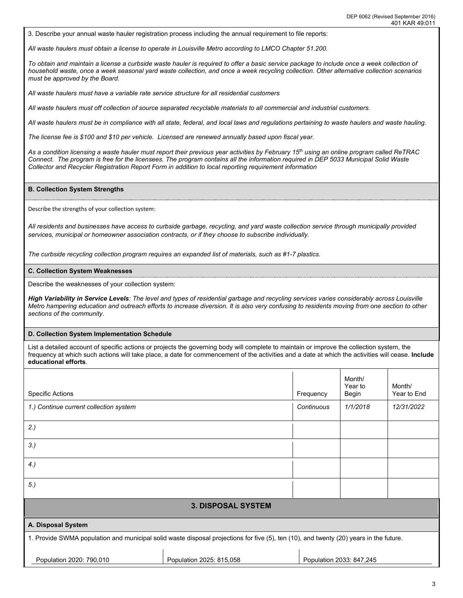3. Describe your annual waste hauler registration process including the annual requirement to file reports:

*All waste haulers must obtain a license to operate in Louisville Metro according to LMCO Chapter 51.200.* 

*To obtain and maintain a license a curbside waste hauler is required to offer a basic service package to include once a week collection of household waste, once a week seasonal yard waste collection, and once a week recycling collection. Other alternative collection scenarios must be approved by the Board.* 

*All waste haulers must have a variable rate service structure for all residential customers*

*All waste haulers must off collection of source separated recyclable materials to all commercial and industrial customers.* 

*All waste haulers must be in compliance with all state, federal, and local laws and regulations pertaining to waste haulers and waste hauling.* 

*The license fee is \$100 and \$10 per vehicle. Licensed are renewed annually based upon fiscal year.* 

*As a condition licensing a waste hauler must report their previous year activities by February 15th using an online program called ReTRAC Connect. The program is free for the licensees. The program contains all the information required in DEP 5033 Municipal Solid Waste Collector and Recycler Registration Report Form in addition to local reporting requirement information*

#### **B. Collection System Strengths**

Describe the strengths of your collection system:

*All residents and businesses have access to curbside garbage, recycling, and yard waste collection service through municipally provided services, municipal or homeowner association contracts, or if they choose to subscribe individually.* 

*The curbside recycling collection program requires an expanded list of materials, such as #1-7 plastics.* 

#### **C. Collection System Weaknesses**

Describe the weaknesses of your collection system:

*High Variability in Service Levels: The level and types of residential garbage and recycling services varies considerably across Louisville Metro hampering education and outreach efforts to increase diversion. It is also very confusing to residents moving from one section to other sections of the community.* 

#### **D. Collection System Implementation Schedule**

List a detailed account of specific actions or projects the governing body will complete to maintain or improve the collection system, the frequency at which such actions will take place, a date for commencement of the activities and a date at which the activities will cease. **Include educational efforts**.

|                                                                                                                                        |                           |            | Month/<br>Year to        | Month/      |
|----------------------------------------------------------------------------------------------------------------------------------------|---------------------------|------------|--------------------------|-------------|
| <b>Specific Actions</b>                                                                                                                |                           | Frequency  | Begin                    | Year to End |
| 1.) Continue current collection system                                                                                                 |                           | Continuous | 1/1/2018                 | 12/31/2022  |
| 2.)                                                                                                                                    |                           |            |                          |             |
| $3.$ )                                                                                                                                 |                           |            |                          |             |
| 4.                                                                                                                                     |                           |            |                          |             |
| 5.)                                                                                                                                    |                           |            |                          |             |
|                                                                                                                                        | <b>3. DISPOSAL SYSTEM</b> |            |                          |             |
| A. Disposal System                                                                                                                     |                           |            |                          |             |
| 1. Provide SWMA population and municipal solid waste disposal projections for five (5), ten (10), and twenty (20) years in the future. |                           |            |                          |             |
| Population 2020: 790,010                                                                                                               | Population 2025: 815,058  |            | Population 2033: 847,245 |             |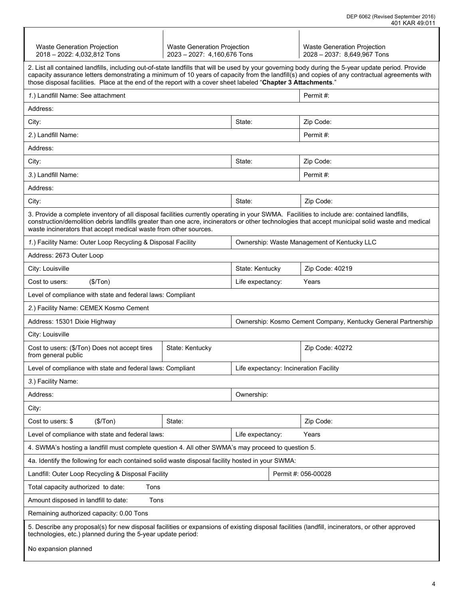| Waste Generation Projection<br>2018 - 2022: 4,032,812 Tons                                                                                                                                                                                                                                                                                                                                                            | <b>Waste Generation Projection</b><br>2023 - 2027: 4,160,676 Tons |                  |  | Waste Generation Projection<br>2028 - 2037: 8,649,967 Tons |  |  |
|-----------------------------------------------------------------------------------------------------------------------------------------------------------------------------------------------------------------------------------------------------------------------------------------------------------------------------------------------------------------------------------------------------------------------|-------------------------------------------------------------------|------------------|--|------------------------------------------------------------|--|--|
| 2. List all contained landfills, including out-of-state landfills that will be used by your governing body during the 5-year update period. Provide<br>capacity assurance letters demonstrating a minimum of 10 years of capacity from the landfill(s) and copies of any contractual agreements with<br>those disposal facilities. Place at the end of the report with a cover sheet labeled "Chapter 3 Attachments." |                                                                   |                  |  |                                                            |  |  |
| 1.) Landfill Name: See attachment                                                                                                                                                                                                                                                                                                                                                                                     | Permit #:                                                         |                  |  |                                                            |  |  |
| Address:                                                                                                                                                                                                                                                                                                                                                                                                              |                                                                   |                  |  |                                                            |  |  |
| City:                                                                                                                                                                                                                                                                                                                                                                                                                 |                                                                   | State:           |  | Zip Code:                                                  |  |  |
| 2.) Landfill Name:                                                                                                                                                                                                                                                                                                                                                                                                    |                                                                   |                  |  | Permit#:                                                   |  |  |
| Address:                                                                                                                                                                                                                                                                                                                                                                                                              |                                                                   |                  |  |                                                            |  |  |
| City:                                                                                                                                                                                                                                                                                                                                                                                                                 |                                                                   | State:           |  | Zip Code:                                                  |  |  |
| 3.) Landfill Name:                                                                                                                                                                                                                                                                                                                                                                                                    |                                                                   |                  |  | Permit #:                                                  |  |  |
| Address:                                                                                                                                                                                                                                                                                                                                                                                                              |                                                                   |                  |  |                                                            |  |  |
| City:                                                                                                                                                                                                                                                                                                                                                                                                                 |                                                                   | State:           |  | Zip Code:                                                  |  |  |
| 3. Provide a complete inventory of all disposal facilities currently operating in your SWMA. Facilities to include are: contained landfills,<br>construction/demolition debris landfills greater than one acre, incinerators or other technologies that accept municipal solid waste and medical<br>waste incinerators that accept medical waste from other sources.                                                  |                                                                   |                  |  |                                                            |  |  |
| 1.) Facility Name: Outer Loop Recycling & Disposal Facility                                                                                                                                                                                                                                                                                                                                                           |                                                                   |                  |  | Ownership: Waste Management of Kentucky LLC                |  |  |
| Address: 2673 Outer Loop                                                                                                                                                                                                                                                                                                                                                                                              |                                                                   |                  |  |                                                            |  |  |
| City: Louisville                                                                                                                                                                                                                                                                                                                                                                                                      |                                                                   | State: Kentucky  |  | Zip Code: 40219                                            |  |  |
| (\$/ Ton)<br>Cost to users:<br>Life expectancy:<br>Years                                                                                                                                                                                                                                                                                                                                                              |                                                                   |                  |  |                                                            |  |  |
| Level of compliance with state and federal laws: Compliant                                                                                                                                                                                                                                                                                                                                                            |                                                                   |                  |  |                                                            |  |  |
| 2.) Facility Name: CEMEX Kosmo Cement                                                                                                                                                                                                                                                                                                                                                                                 |                                                                   |                  |  |                                                            |  |  |
| Address: 15301 Dixie Highway<br>Ownership: Kosmo Cement Company, Kentucky General Partnership                                                                                                                                                                                                                                                                                                                         |                                                                   |                  |  |                                                            |  |  |
| City: Louisville                                                                                                                                                                                                                                                                                                                                                                                                      |                                                                   |                  |  |                                                            |  |  |
| Cost to users: (\$/Ton) Does not accept tires<br>from general public                                                                                                                                                                                                                                                                                                                                                  | State: Kentucky<br>Zip Code: 40272                                |                  |  |                                                            |  |  |
| Level of compliance with state and federal laws: Compliant                                                                                                                                                                                                                                                                                                                                                            | Life expectancy: Incineration Facility                            |                  |  |                                                            |  |  |
| 3.) Facility Name:                                                                                                                                                                                                                                                                                                                                                                                                    |                                                                   |                  |  |                                                            |  |  |
| Address:                                                                                                                                                                                                                                                                                                                                                                                                              |                                                                   | Ownership:       |  |                                                            |  |  |
| City:                                                                                                                                                                                                                                                                                                                                                                                                                 |                                                                   |                  |  |                                                            |  |  |
| (\$/Ton)<br>Cost to users: \$                                                                                                                                                                                                                                                                                                                                                                                         | State:                                                            |                  |  | Zip Code:                                                  |  |  |
| Level of compliance with state and federal laws:                                                                                                                                                                                                                                                                                                                                                                      |                                                                   | Life expectancy: |  | Years                                                      |  |  |
| 4. SWMA's hosting a landfill must complete question 4. All other SWMA's may proceed to question 5.                                                                                                                                                                                                                                                                                                                    |                                                                   |                  |  |                                                            |  |  |
| 4a. Identify the following for each contained solid waste disposal facility hosted in your SWMA:                                                                                                                                                                                                                                                                                                                      |                                                                   |                  |  |                                                            |  |  |
| Landfill: Outer Loop Recycling & Disposal Facility                                                                                                                                                                                                                                                                                                                                                                    |                                                                   |                  |  | Permit #: 056-00028                                        |  |  |
| Total capacity authorized to date:<br>Tons                                                                                                                                                                                                                                                                                                                                                                            |                                                                   |                  |  |                                                            |  |  |
| Amount disposed in landfill to date:<br>Tons                                                                                                                                                                                                                                                                                                                                                                          |                                                                   |                  |  |                                                            |  |  |
| Remaining authorized capacity: 0.00 Tons                                                                                                                                                                                                                                                                                                                                                                              |                                                                   |                  |  |                                                            |  |  |
| 5. Describe any proposal(s) for new disposal facilities or expansions of existing disposal facilities (landfill, incinerators, or other approved<br>technologies, etc.) planned during the 5-year update period:                                                                                                                                                                                                      |                                                                   |                  |  |                                                            |  |  |
| No expansion planned                                                                                                                                                                                                                                                                                                                                                                                                  |                                                                   |                  |  |                                                            |  |  |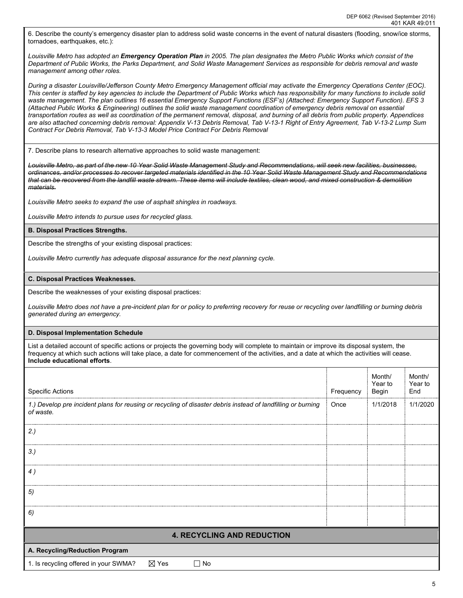6. Describe the county's emergency disaster plan to address solid waste concerns in the event of natural disasters (flooding, snow/ice storms, tornadoes, earthquakes, etc.):

*Louisville Metro has adopted an Emergency Operation Plan in 2005. The plan designates the Metro Public Works which consist of the Department of Public Works, the Parks Department, and Solid Waste Management Services as responsible for debris removal and waste management among other roles.* 

*During a disaster Louisville/Jefferson County Metro Emergency Management official may activate the Emergency Operations Center (EOC). This center is staffed by key agencies to include the Department of Public Works which has responsibility for many functions to include solid waste management. The plan outlines 16 essential Emergency Support Functions (ESF's) (Attached: Emergency Support Function). EFS 3 (Attached Public Works & Engineering) outlines the solid waste management coordination of emergency debris removal on essential transportation routes as well as coordination of the permanent removal, disposal, and burning of all debris from public property. Appendices are also attached concerning debris removal: Appendix V-13 Debris Removal, Tab V-13-1 Right of Entry Agreement, Tab V-13-2 Lump Sum Contract For Debris Removal, Tab V-13-3 Model Price Contract For Debris Removal*

7. Describe plans to research alternative approaches to solid waste management:

*Louisville Metro, as part of the new 10 Year Solid Waste Management Study and Recommendations, will seek new facilities, businesses, ordinances, and/or processes to recover targeted materials identified in the 10 Year Solid Waste Management Study and Recommendations that can be recovered from the landfill waste stream. These items will include textiles, clean wood, and mixed construction & demolition materials.* 

*Louisville Metro seeks to expand the use of asphalt shingles in roadways.* 

*Louisville Metro intends to pursue uses for recycled glass.* 

#### **B. Disposal Practices Strengths.**

Describe the strengths of your existing disposal practices:

*Louisville Metro currently has adequate disposal assurance for the next planning cycle.* 

## **C. Disposal Practices Weaknesses.**

Describe the weaknesses of your existing disposal practices:

*Louisville Metro does not have a pre-incident plan for or policy to preferring recovery for reuse or recycling over landfilling or burning debris generated during an emergency.* 

## **D. Disposal Implementation Schedule**

List a detailed account of specific actions or projects the governing body will complete to maintain or improve its disposal system, the frequency at which such actions will take place, a date for commencement of the activities, and a date at which the activities will cease. **Include educational efforts**.

| <b>Specific Actions</b>                                                                                                   | Frequency | Month/<br>Year to<br>Begin | Month/<br>Year to<br>End |
|---------------------------------------------------------------------------------------------------------------------------|-----------|----------------------------|--------------------------|
| 1.) Develop pre incident plans for reusing or recycling of disaster debris instead of landfilling or burning<br>of waste. | Once      | 1/1/2018                   | 1/1/2020                 |
| 2.)                                                                                                                       |           |                            |                          |
| $3.$ )                                                                                                                    |           |                            |                          |
| 4)                                                                                                                        |           |                            |                          |
| 5)                                                                                                                        |           |                            |                          |
| 6)                                                                                                                        |           |                            |                          |
| <b>4. RECYCLING AND REDUCTION</b>                                                                                         |           |                            |                          |
| A. Recycling/Reduction Program                                                                                            |           |                            |                          |
| $\boxtimes$ Yes<br>1. Is recycling offered in your SWMA?<br>$\Box$ No                                                     |           |                            |                          |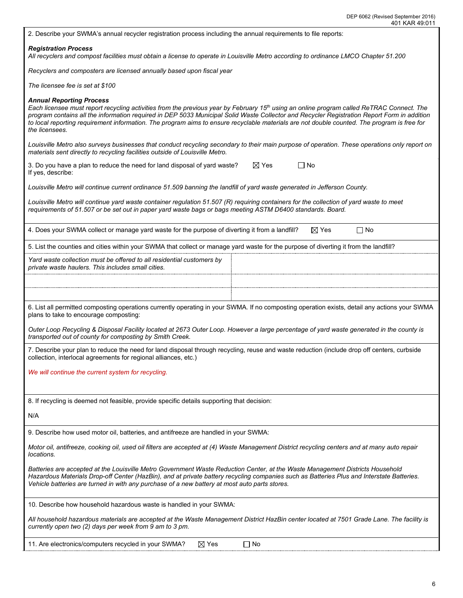| 401 KAR 49:011                                                                                                                                                                                                                                                                                                                                                                                                                                                                                           |  |  |  |  |  |  |  |
|----------------------------------------------------------------------------------------------------------------------------------------------------------------------------------------------------------------------------------------------------------------------------------------------------------------------------------------------------------------------------------------------------------------------------------------------------------------------------------------------------------|--|--|--|--|--|--|--|
| 2. Describe your SWMA's annual recycler registration process including the annual requirements to file reports:                                                                                                                                                                                                                                                                                                                                                                                          |  |  |  |  |  |  |  |
| <b>Registration Process</b><br>All recyclers and compost facilities must obtain a license to operate in Louisville Metro according to ordinance LMCO Chapter 51.200                                                                                                                                                                                                                                                                                                                                      |  |  |  |  |  |  |  |
| Recyclers and composters are licensed annually based upon fiscal year                                                                                                                                                                                                                                                                                                                                                                                                                                    |  |  |  |  |  |  |  |
| The licensee fee is set at \$100                                                                                                                                                                                                                                                                                                                                                                                                                                                                         |  |  |  |  |  |  |  |
| <b>Annual Reporting Process</b><br>Each licensee must report recycling activities from the previous year by February 15 <sup>th</sup> using an online program called ReTRAC Connect. The<br>program contains all the information required in DEP 5033 Municipal Solid Waste Collector and Recycler Registration Report Form in addition<br>to local reporting requirement information. The program aims to ensure recyclable materials are not double counted. The program is free for<br>the licensees. |  |  |  |  |  |  |  |
| Louisville Metro also surveys businesses that conduct recycling secondary to their main purpose of operation. These operations only report on<br>materials sent directly to recycling facilities outside of Louisville Metro.                                                                                                                                                                                                                                                                            |  |  |  |  |  |  |  |
| $\Box$ No<br>$\boxtimes$ Yes<br>3. Do you have a plan to reduce the need for land disposal of yard waste?<br>If yes, describe:                                                                                                                                                                                                                                                                                                                                                                           |  |  |  |  |  |  |  |
| Louisville Metro will continue current ordinance 51.509 banning the landfill of yard waste generated in Jefferson County.                                                                                                                                                                                                                                                                                                                                                                                |  |  |  |  |  |  |  |
| Louisville Metro will continue yard waste container regulation 51.507 (R) requiring containers for the collection of yard waste to meet<br>requirements of 51.507 or be set out in paper yard waste bags or bags meeting ASTM D6400 standards. Board.                                                                                                                                                                                                                                                    |  |  |  |  |  |  |  |
| $\Box$ No<br>4. Does your SWMA collect or manage yard waste for the purpose of diverting it from a landfill?<br>$\boxtimes$ Yes                                                                                                                                                                                                                                                                                                                                                                          |  |  |  |  |  |  |  |
| 5. List the counties and cities within your SWMA that collect or manage yard waste for the purpose of diverting it from the landfill?                                                                                                                                                                                                                                                                                                                                                                    |  |  |  |  |  |  |  |
| Yard waste collection must be offered to all residential customers by<br>private waste haulers. This includes small cities.                                                                                                                                                                                                                                                                                                                                                                              |  |  |  |  |  |  |  |
|                                                                                                                                                                                                                                                                                                                                                                                                                                                                                                          |  |  |  |  |  |  |  |
|                                                                                                                                                                                                                                                                                                                                                                                                                                                                                                          |  |  |  |  |  |  |  |
| 6. List all permitted composting operations currently operating in your SWMA. If no composting operation exists, detail any actions your SWMA<br>plans to take to encourage composting:                                                                                                                                                                                                                                                                                                                  |  |  |  |  |  |  |  |
| Outer Loop Recycling & Disposal Facility located at 2673 Outer Loop. However a large percentage of yard waste generated in the county is<br>transported out of county for composting by Smith Creek.                                                                                                                                                                                                                                                                                                     |  |  |  |  |  |  |  |
| 7. Describe your plan to reduce the need for land disposal through recycling, reuse and waste reduction (include drop off centers, curbside<br>collection, interlocal agreements for regional alliances, etc.)                                                                                                                                                                                                                                                                                           |  |  |  |  |  |  |  |
| We will continue the current system for recycling.                                                                                                                                                                                                                                                                                                                                                                                                                                                       |  |  |  |  |  |  |  |
|                                                                                                                                                                                                                                                                                                                                                                                                                                                                                                          |  |  |  |  |  |  |  |
| 8. If recycling is deemed not feasible, provide specific details supporting that decision:                                                                                                                                                                                                                                                                                                                                                                                                               |  |  |  |  |  |  |  |
| N/A                                                                                                                                                                                                                                                                                                                                                                                                                                                                                                      |  |  |  |  |  |  |  |
| 9. Describe how used motor oil, batteries, and antifreeze are handled in your SWMA:                                                                                                                                                                                                                                                                                                                                                                                                                      |  |  |  |  |  |  |  |
| Motor oil, antifreeze, cooking oil, used oil filters are accepted at (4) Waste Management District recycling centers and at many auto repair<br>locations.                                                                                                                                                                                                                                                                                                                                               |  |  |  |  |  |  |  |
| Batteries are accepted at the Louisville Metro Government Waste Reduction Center, at the Waste Management Districts Household<br>Hazardous Materials Drop-off Center (HazBin), and at private battery recycling companies such as Batteries Plus and Interstate Batteries.<br>Vehicle batteries are turned in with any purchase of a new battery at most auto parts stores.                                                                                                                              |  |  |  |  |  |  |  |
| 10. Describe how household hazardous waste is handled in your SWMA:                                                                                                                                                                                                                                                                                                                                                                                                                                      |  |  |  |  |  |  |  |
| All household hazardous materials are accepted at the Waste Management District HazBin center located at 7501 Grade Lane. The facility is<br>currently open two (2) days per week from 9 am to 3 pm.                                                                                                                                                                                                                                                                                                     |  |  |  |  |  |  |  |
| $\boxtimes$ Yes<br>11. Are electronics/computers recycled in your SWMA?<br>∣ No                                                                                                                                                                                                                                                                                                                                                                                                                          |  |  |  |  |  |  |  |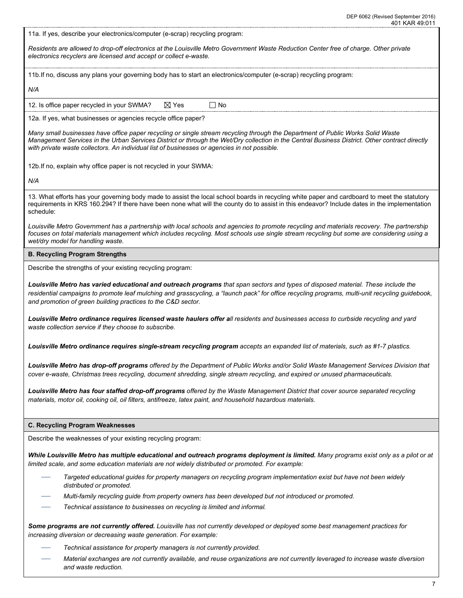| 401 KAR 49:011                                                                                                                                                                                                                                                                                                                                                                    |
|-----------------------------------------------------------------------------------------------------------------------------------------------------------------------------------------------------------------------------------------------------------------------------------------------------------------------------------------------------------------------------------|
| 11a. If yes, describe your electronics/computer (e-scrap) recycling program:                                                                                                                                                                                                                                                                                                      |
| Residents are allowed to drop-off electronics at the Louisville Metro Government Waste Reduction Center free of charge. Other private<br>electronics recyclers are licensed and accept or collect e-waste.                                                                                                                                                                        |
| 11b. If no, discuss any plans your governing body has to start an electronics/computer (e-scrap) recycling program:                                                                                                                                                                                                                                                               |
| N/A                                                                                                                                                                                                                                                                                                                                                                               |
| 12. Is office paper recycled in your SWMA?<br>$\boxtimes$ Yes<br>Γ No                                                                                                                                                                                                                                                                                                             |
| 12a. If yes, what businesses or agencies recycle office paper?                                                                                                                                                                                                                                                                                                                    |
| Many small businesses have office paper recycling or single stream recycling through the Department of Public Works Solid Waste<br>Management Services in the Urban Services District or through the Wet/Dry collection in the Central Business District. Other contract directly<br>with private waste collectors. An individual list of businesses or agencies in not possible. |
| 12b. If no, explain why office paper is not recycled in your SWMA:                                                                                                                                                                                                                                                                                                                |
| N/A                                                                                                                                                                                                                                                                                                                                                                               |
| 13. What efforts has your governing body made to assist the local school boards in recycling white paper and cardboard to meet the statutory<br>requirements in KRS 160.294? If there have been none what will the county do to assist in this endeavor? Include dates in the implementation<br>schedule:                                                                         |
| Louisville Metro Government has a partnership with local schools and agencies to promote recycling and materials recovery. The partnership<br>focuses on total materials management which includes recycling. Most schools use single stream recycling but some are considering using a<br>wet/dry model for handling waste.                                                      |
| <b>B. Recycling Program Strengths</b>                                                                                                                                                                                                                                                                                                                                             |
| Describe the strengths of your existing recycling program:                                                                                                                                                                                                                                                                                                                        |
| Louisville Metro has varied educational and outreach programs that span sectors and types of disposed material. These include the<br>residential campaigns to promote leaf mulching and grasscycling, a "launch pack" for office recycling programs, multi-unit recycling guidebook,<br>and promotion of green building practices to the C&D sector.                              |
| Louisville Metro ordinance requires licensed waste haulers offer all residents and businesses access to curbside recycling and yard<br>waste collection service if they choose to subscribe.                                                                                                                                                                                      |
| Louisville Metro ordinance requires single-stream recycling program accepts an expanded list of materials, such as #1-7 plastics.                                                                                                                                                                                                                                                 |
| Louisville Metro has drop-off programs offered by the Department of Public Works and/or Solid Waste Management Services Division that<br>cover e-waste, Christmas trees recycling, document shredding, single stream recycling, and expired or unused pharmaceuticals.                                                                                                            |
| Louisville Metro has four staffed drop-off programs offered by the Waste Management District that cover source separated recycling<br>materials, motor oil, cooking oil, oil filters, antifreeze, latex paint, and household hazardous materials.                                                                                                                                 |
| <b>C. Recycling Program Weaknesses</b>                                                                                                                                                                                                                                                                                                                                            |
| Describe the weaknesses of your existing recycling program:                                                                                                                                                                                                                                                                                                                       |
| While Louisville Metro has multiple educational and outreach programs deployment is limited. Many programs exist only as a pilot or at<br>limited scale, and some education materials are not widely distributed or promoted. For example:                                                                                                                                        |
| Targeted educational guides for property managers on recycling program implementation exist but have not been widely<br>distributed or promoted.                                                                                                                                                                                                                                  |
| Multi-family recycling guide from property owners has been developed but not introduced or promoted.                                                                                                                                                                                                                                                                              |
| Technical assistance to businesses on recycling is limited and informal.                                                                                                                                                                                                                                                                                                          |
| Some programs are not currently offered. Louisville has not currently developed or deployed some best management practices for<br>increasing diversion or decreasing waste generation. For example:                                                                                                                                                                               |

- *Technical assistance for property managers is not currently provided.*
- *Material exchanges are not currently available, and reuse organizations are not currently leveraged to increase waste diversion and waste reduction.*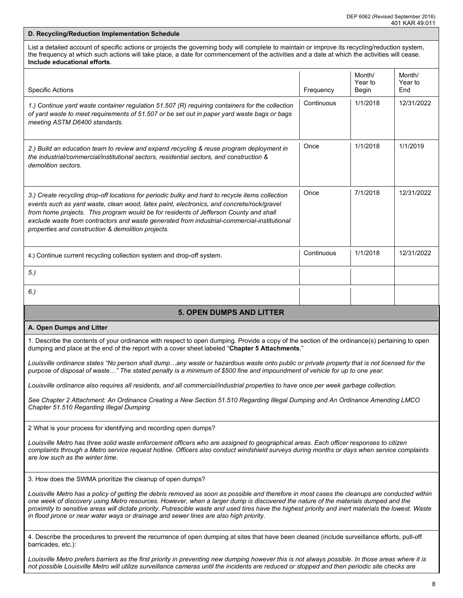# **D. Recycling/Reduction Implementation Schedule** List a detailed account of specific actions or projects the governing body will complete to maintain or improve its recycling/reduction system, the frequency at which such actions will take place, a date for commencement of the activities and a date at which the activities will cease. **Include educational efforts**. Specific Actions **Frequency Frequency Frequency Frequency Frequency Frequency** Month/ Year to Begin Month/ Year to End *1.) Continue yard waste container regulation 51.507 (R) requiring containers for the collection of yard waste to meet requirements of 51.507 or be set out in paper yard waste bags or bags meeting ASTM D6400 standards.* Continuous 1/1/2018 12/31/2022 *2.) Build an education team to review and expand recycling & reuse program deployment in the industrial/commercial/institutional sectors, residential sectors, and construction & demolition sectors.*  Once 1/1/2018 1/1/2019 *3.) Create recycling drop-off locations for periodic bulky and hard to recycle items collection events such as yard waste, clean wood, latex paint, electronics, and concrete/rock/gravel*  from home projects. This program would be for residents of Jefferson County and shall *exclude waste from contractors and waste generated from industrial-commercial-institutional properties and construction & demolition projects.*  Once 7/1/2018 12/31/2022 4.) Continue current recycling collection system and drop-off system. <br>
and the system. *5.) 6.)* **5. OPEN DUMPS AND LITTER A. Open Dumps and Litter** 1. Describe the contents of your ordinance with respect to open dumping. Provide a copy of the section of the ordinance(s) pertaining to open dumping and place at the end of the report with a cover sheet labeled "**Chapter 5 Attachments**." *Louisville ordinance states "No person shall dump…any waste or hazardous waste onto public or private property that is not licensed for the purpose of disposal of waste…" The stated penalty is a minimum of \$500 fine and impoundment of vehicle for up to one year. Louisville ordinance also requires all residents, and all commercial/industrial properties to have once per week garbage collection. See Chapter 2 Attachment: An Ordinance Creating a New Section 51.510 Regarding Illegal Dumping and An Ordinance Amending LMCO Chapter 51.510 Regarding Illegal Dumping* 2 What is your process for identifying and recording open dumps? *Louisville Metro has three solid waste enforcement officers who are assigned to geographical areas. Each officer responses to citizen complaints through a Metro service request hotline. Officers also conduct windshield surveys during months or days when service complaints are low such as the winter time.*  3. How does the SWMA prioritize the cleanup of open dumps? *Louisville Metro has a policy of getting the debris removed as soon as possible and therefore in most cases the cleanups are conducted within one week of discovery using Metro resources. However, when a larger dump is discovered the nature of the materials dumped and the proximity to sensitive areas will dictate priority. Putrescible waste and used tires have the highest priority and inert materials the lowest. Waste in flood prone or near water ways or drainage and sewer lines are also high priority.*  4. Describe the procedures to prevent the recurrence of open dumping at sites that have been cleaned (include surveillance efforts, pull-off barricades, etc.): Louisville Metro prefers barriers as the first priority in preventing new dumping however this is not always possible. In those areas where it is

*not possible Louisville Metro will utilize surveillance cameras until the incidents are reduced or stopped and then periodic site checks are*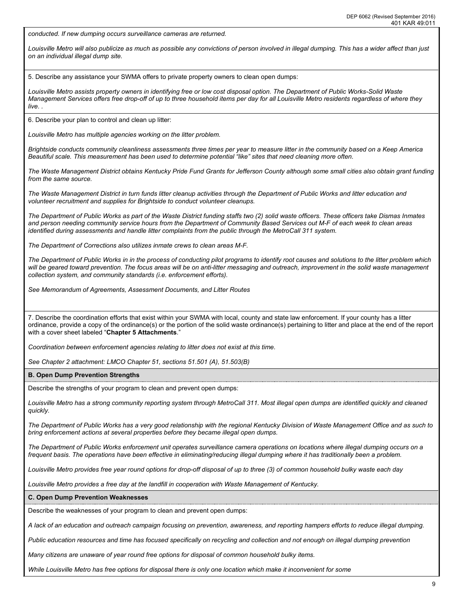*conducted. If new dumping occurs surveillance cameras are returned.* 

*Louisville Metro will also publicize as much as possible any convictions of person involved in illegal dumping. This has a wider affect than just on an individual illegal dump site.* 

5. Describe any assistance your SWMA offers to private property owners to clean open dumps:

*Louisville Metro assists property owners in identifying free or low cost disposal option. The Department of Public Works-Solid Waste Management Services offers free drop-off of up to three household items per day for all Louisville Metro residents regardless of where they live. .* 

6. Describe your plan to control and clean up litter:

*Louisville Metro has multiple agencies working on the litter problem.* 

*Brightside conducts community cleanliness assessments three times per year to measure litter in the community based on a Keep America Beautiful scale. This measurement has been used to determine potential "like" sites that need cleaning more often.* 

*The Waste Management District obtains Kentucky Pride Fund Grants for Jefferson County although some small cities also obtain grant funding from the same source.* 

*The Waste Management District in turn funds litter cleanup activities through the Department of Public Works and litter education and volunteer recruitment and supplies for Brightside to conduct volunteer cleanups.* 

*The Department of Public Works as part of the Waste District funding staffs two (2) solid waste officers. These officers take Dismas Inmates and person needing community service hours from the Department of Community Based Services out M-F of each week to clean areas identified during assessments and handle litter complaints from the public through the MetroCall 311 system.* 

*The Department of Corrections also utilizes inmate crews to clean areas M-F.* 

*The Department of Public Works in in the process of conducting pilot programs to identify root causes and solutions to the litter problem which*  will be geared toward prevention. The focus areas will be on anti-litter messaging and outreach, improvement in the solid waste management *collection system, and community standards (i.e. enforcement efforts).* 

*See Memorandum of Agreements, Assessment Documents, and Litter Routes* 

7. Describe the coordination efforts that exist within your SWMA with local, county and state law enforcement. If your county has a litter ordinance, provide a copy of the ordinance(s) or the portion of the solid waste ordinance(s) pertaining to litter and place at the end of the report with a cover sheet labeled "**Chapter 5 Attachments**."

*Coordination between enforcement agencies relating to litter does not exist at this time.* 

*See Chapter 2 attachment: LMCO Chapter 51, sections 51.501 (A), 51.503(B)*

**B. Open Dump Prevention Strengths**

Describe the strengths of your program to clean and prevent open dumps:

*Louisville Metro has a strong community reporting system through MetroCall 311. Most illegal open dumps are identified quickly and cleaned quickly.* 

*The Department of Public Works has a very good relationship with the regional Kentucky Division of Waste Management Office and as such to bring enforcement actions at several properties before they became illegal open dumps.* 

*The Department of Public Works enforcement unit operates surveillance camera operations on locations where illegal dumping occurs on a frequent basis. The operations have been effective in eliminating/reducing illegal dumping where it has traditionally been a problem.* 

*Louisville Metro provides free year round options for drop-off disposal of up to three (3) of common household bulky waste each day*

*Louisville Metro provides a free day at the landfill in cooperation with Waste Management of Kentucky.*

**C. Open Dump Prevention Weaknesses**

Describe the weaknesses of your program to clean and prevent open dumps:

*A lack of an education and outreach campaign focusing on prevention, awareness, and reporting hampers efforts to reduce illegal dumping.* 

*Public education resources and time has focused specifically on recycling and collection and not enough on illegal dumping prevention*

*Many citizens are unaware of year round free options for disposal of common household bulky items.*

*While Louisville Metro has free options for disposal there is only one location which make it inconvenient for some*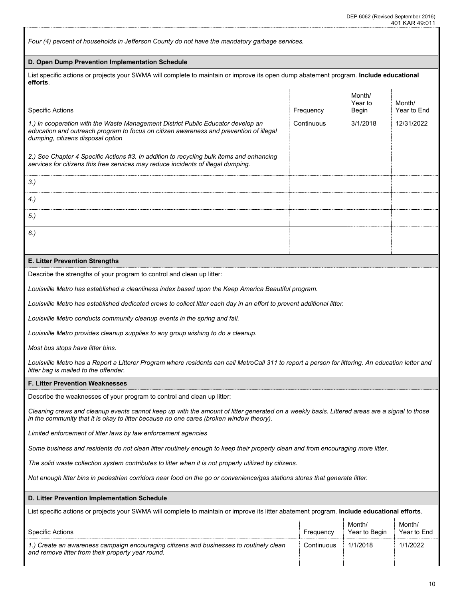*Four (4) percent of households in Jefferson County do not have the mandatory garbage services.*  **D. Open Dump Prevention Implementation Schedule** List specific actions or projects your SWMA will complete to maintain or improve its open dump abatement program. **Include educational efforts**. Specific Actions **Frequency Frequency Frequency Frequency Frequency Frequency** Month/ Year to Begin Month/ Year to End *1.) In cooperation with the Waste Management District Public Educator develop an education and outreach program to focus on citizen awareness and prevention of illegal dumping, citizens disposal option*  Continuous 3/1/2018 12/31/2022 *2.) See Chapter 4 Specific Actions #3. In addition to recycling bulk items and enhancing services for citizens this free services may reduce incidents of illegal dumping. 3.) 4.) 5.) 6.)*  **E. Litter Prevention Strengths** Describe the strengths of your program to control and clean up litter: *Louisville Metro has established a cleanliness index based upon the Keep America Beautiful program. Louisville Metro has established dedicated crews to collect litter each day in an effort to prevent additional litter. Louisville Metro conducts community cleanup events in the spring and fall. Louisville Metro provides cleanup supplies to any group wishing to do a cleanup. Most bus stops have litter bins. Louisville Metro has a Report a Litterer Program where residents can call MetroCall 311 to report a person for littering. An education letter and litter bag is mailed to the offender.* **F. Litter Prevention Weaknesses** Describe the weaknesses of your program to control and clean up litter: *Cleaning crews and cleanup events cannot keep up with the amount of litter generated on a weekly basis. Littered areas are a signal to those in the community that it is okay to litter because no one cares (broken window theory). Limited enforcement of litter laws by law enforcement agencies Some business and residents do not clean litter routinely enough to keep their property clean and from encouraging more litter. The solid waste collection system contributes to litter when it is not properly utilized by citizens. Not enough litter bins in pedestrian corridors near food on the go or convenience/gas stations stores that generate litter.*  **D. Litter Prevention Implementation Schedule** List specific actions or projects your SWMA will complete to maintain or improve its litter abatement program. **Include educational efforts**. Specific Actions **Frequency Frequency Frequency Frequency Frequency Frequency** Month/ Year to Begin Month/ Year to End *1.) Create an awareness campaign encouraging citizens and businesses to routinely clean and remove litter from their property year round.* Continuous 1/1/2018 1/1/2022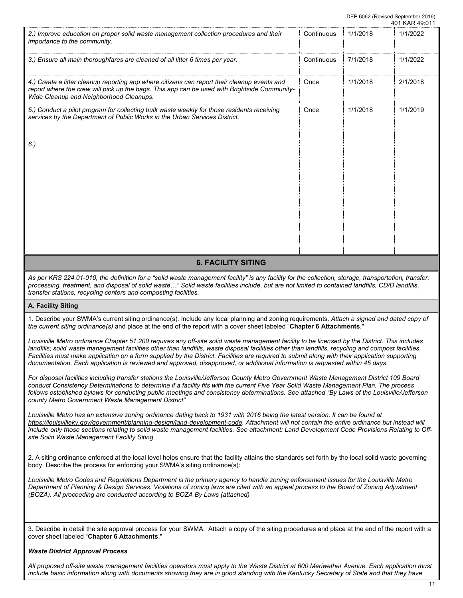|                                                                                                                                                                                                                                                                                                                                                                                                                                                                                                                                                                                          |            |          | 401 KAR 49:011 |  |  |  |  |
|------------------------------------------------------------------------------------------------------------------------------------------------------------------------------------------------------------------------------------------------------------------------------------------------------------------------------------------------------------------------------------------------------------------------------------------------------------------------------------------------------------------------------------------------------------------------------------------|------------|----------|----------------|--|--|--|--|
| 2.) Improve education on proper solid waste management collection procedures and their<br>importance to the community.                                                                                                                                                                                                                                                                                                                                                                                                                                                                   | Continuous | 1/1/2018 | 1/1/2022       |  |  |  |  |
| 3.) Ensure all main thoroughfares are cleaned of all litter 6 times per year.                                                                                                                                                                                                                                                                                                                                                                                                                                                                                                            | Continuous | 7/1/2018 | 1/1/2022       |  |  |  |  |
| 4.) Create a litter cleanup reporting app where citizens can report their cleanup events and<br>report where the crew will pick up the bags. This app can be used with Brightside Community-<br>Wide Cleanup and Neighborhood Cleanups.                                                                                                                                                                                                                                                                                                                                                  | Once       | 1/1/2018 | 2/1/2018       |  |  |  |  |
| 5.) Conduct a pilot program for collecting bulk waste weekly for those residents receiving<br>services by the Department of Public Works in the Urban Services District.                                                                                                                                                                                                                                                                                                                                                                                                                 | Once       | 1/1/2018 | 1/1/2019       |  |  |  |  |
| 6.)                                                                                                                                                                                                                                                                                                                                                                                                                                                                                                                                                                                      |            |          |                |  |  |  |  |
|                                                                                                                                                                                                                                                                                                                                                                                                                                                                                                                                                                                          |            |          |                |  |  |  |  |
|                                                                                                                                                                                                                                                                                                                                                                                                                                                                                                                                                                                          |            |          |                |  |  |  |  |
|                                                                                                                                                                                                                                                                                                                                                                                                                                                                                                                                                                                          |            |          |                |  |  |  |  |
|                                                                                                                                                                                                                                                                                                                                                                                                                                                                                                                                                                                          |            |          |                |  |  |  |  |
| <b>6. FACILITY SITING</b>                                                                                                                                                                                                                                                                                                                                                                                                                                                                                                                                                                |            |          |                |  |  |  |  |
| As per KRS 224.01-010, the definition for a "solid waste management facility" is any facility for the collection, storage, transportation, transfer,<br>processing, treatment, and disposal of solid waste" Solid waste facilities include, but are not limited to contained landfills, CD/D landfills,<br>transfer stations, recycling centers and composting facilities.                                                                                                                                                                                                               |            |          |                |  |  |  |  |
| A. Facility Siting                                                                                                                                                                                                                                                                                                                                                                                                                                                                                                                                                                       |            |          |                |  |  |  |  |
| 1. Describe your SWMA's current siting ordinance(s). Include any local planning and zoning requirements. Attach a signed and dated copy of<br>the current siting ordinance(s) and place at the end of the report with a cover sheet labeled "Chapter 6 Attachments."                                                                                                                                                                                                                                                                                                                     |            |          |                |  |  |  |  |
| Louisville Metro ordinance Chapter 51.200 requires any off-site solid waste management facility to be licensed by the District. This includes<br>landfills; solid waste management facilities other than landfills, waste disposal facilities other than landfills, recycling and compost facilities.<br>Facilities must make application on a form supplied by the District. Facilities are required to submit along with their application supporting<br>documentation. Each application is reviewed and approved, disapproved, or additional information is requested within 45 days. |            |          |                |  |  |  |  |
| For disposal facilities including transfer stations the Louisville/Jefferson County Metro Government Waste Management District 109 Board<br>conduct Consistency Determinations to determine if a facility fits with the current Five Year Solid Waste Management Plan. The process<br>follows established bylaws for conducting public meetings and consistency determinations. See attached "By Laws of the Louisville/Jefferson<br>county Metro Government Waste Management District"                                                                                                  |            |          |                |  |  |  |  |
| Louisville Metro has an extensive zoning ordinance dating back to 1931 with 2016 being the latest version. It can be found at<br>https://louisvilleky.gov/government/planning-design/land-development-code. Attachment will not contain the entire ordinance but instead will<br>include only those sections relating to solid waste management facilities. See attachment: Land Development Code Provisions Relating to Off-<br>site Solid Waste Management Facility Siting                                                                                                             |            |          |                |  |  |  |  |
| 2. A siting ordinance enforced at the local level helps ensure that the facility attains the standards set forth by the local solid waste governing<br>body. Describe the process for enforcing your SWMA's siting ordinance(s):                                                                                                                                                                                                                                                                                                                                                         |            |          |                |  |  |  |  |
| Louisville Metro Codes and Regulations Department is the primary agency to handle zoning enforcement issues for the Louisville Metro<br>Department of Planning & Design Services. Violations of zoning laws are cited with an appeal process to the Board of Zoning Adjustment<br>(BOZA). All proceeding are conducted according to BOZA By Laws (attached)                                                                                                                                                                                                                              |            |          |                |  |  |  |  |
| 3. Describe in detail the site approval process for your SWMA. Attach a copy of the siting procedures and place at the end of the report with a<br>cover sheet labeled "Chapter 6 Attachments."                                                                                                                                                                                                                                                                                                                                                                                          |            |          |                |  |  |  |  |
| <b>Waste District Approval Process</b>                                                                                                                                                                                                                                                                                                                                                                                                                                                                                                                                                   |            |          |                |  |  |  |  |

*All proposed off-site waste management facilities operators must apply to the Waste District at 600 Meriwether Avenue. Each application must include basic information along with documents showing they are in good standing with the Kentucky Secretary of State and that they have*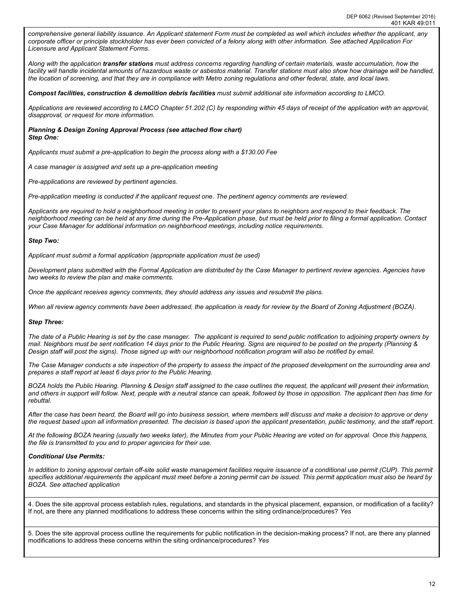*comprehensive general liability issuance. An Applicant statement Form must be completed as well which includes whether the applicant, any corporate officer or principle stockholder has ever been convicted of a felony along with other information. See attached Application For Licensure and Applicant Statement Forms.* 

*Along with the application transfer stations must address concerns regarding handling of certain materials, waste accumulation, how the*  facility will handle incidental amounts of hazardous waste or asbestos material. Transfer stations must also show how drainage will be handled, *the location of screening, and that they are in compliance with Metro zoning regulations and other federal, state, and local laws.* 

*Compost facilities, construction & demolition debris facilities must submit additional site information according to LMCO.*

*Applications are reviewed according to LMCO Chapter 51.202 (C) by responding within 45 days of receipt of the application with an approval, disapproval, or request for more information.* 

*Planning & Design Zoning Approval Process (see attached flow chart) Step One:* 

*Applicants must submit a pre-application to begin the process along with a \$130.00 Fee*

*A case manager is assigned and sets up a pre-application meeting*

*Pre-applications are reviewed by pertinent agencies.* 

*Pre-application meeting is conducted if the applicant request one. The pertinent agency comments are reviewed.*

*Applicants are required to hold a neighborhood meeting in order to present your plans to neighbors and respond to their feedback. The neighborhood meeting can be held at any time during the Pre-Application phase, but must be held prior to filing a formal application. Contact your Case Manager for additional information on neighborhood meetings, including notice requirements.*

#### *Step Two:*

*Applicant must submit a formal application (appropriate application must be used)*

*Development plans submitted with the Formal Application are distributed by the Case Manager to pertinent review agencies. Agencies have two weeks to review the plan and make comments.* 

*Once the applicant receives agency comments, they should address any issues and resubmit the plans.*

When all review agency comments have been addressed, the application is ready for review by the Board of Zoning Adjustment *[\(BOZA\)](https://louisvilleky.gov/government/planning-design/board-zoning-adjustment)*.

#### *Step Three:*

*The date of a Public Hearing is set by the case manager. The applicant is required to send public notification to adjoining property owners by mail. Neighbors must be sent notification 14 days prior to the Public Hearing. Signs are required to be posted on the property (Planning & Design staff will post the signs). Those signed up with our neighborhood notification program will also be notified by email.*

*The Case Manager conducts a site inspection of the property to assess the impact of the proposed development on the surrounding area and prepares a staff report at least 6 days prior to the Public Hearing.*

*BOZA holds the Public Hearing. Planning & Design staff assigned to the case outlines the request, the applicant will present their information, and others in support will follow. Next, people with a neutral stance can speak, followed by those in opposition. The applicant then has time for rebuttal.*

*After the case has been heard, the Board will go into business session, where members will discuss and make a decision to approve or deny the request based upon all information presented. The decision is based upon the applicant presentation, public testimony, and the staff report.* 

*At the following BOZA hearing (usually two weeks later), the Minutes from your Public Hearing are voted on for approval. Once this happens, the file is transmitted to you and to proper agencies for their use.*

### *Conditional Use Permits:*

In addition to zoning approval certain off-site solid waste management facilities require issuance of a conditional use permit (CUP). This permit *specifies additional requirements the applicant must meet before a zoning permit can be issued. This permit application must also be heard by BOZA. See attached application*

4. Does the site approval process establish rules, regulations, and standards in the physical placement, expansion, or modification of a facility? If not, are there any planned modifications to address these concerns within the siting ordinance/procedures? *Yes*

5. Does the site approval process outline the requirements for public notification in the decision-making process? If not, are there any planned modifications to address these concerns within the siting ordinance/procedures? *Yes*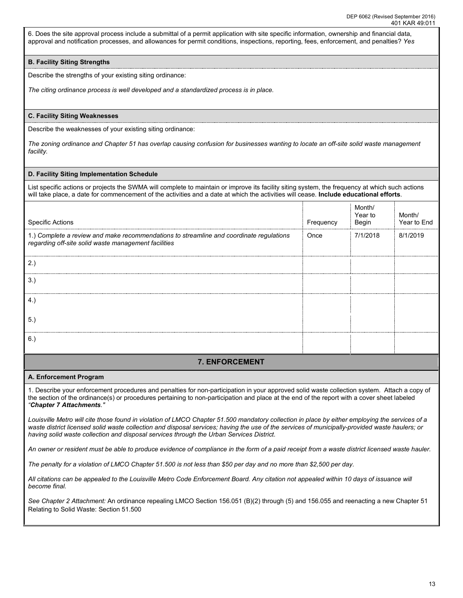6. Does the site approval process include a submittal of a permit application with site specific information, ownership and financial data, approval and notification processes, and allowances for permit conditions, inspections, reporting, fees, enforcement, and penalties? *Yes*

## **B. Facility Siting Strengths**

Describe the strengths of your existing siting ordinance:

*The citing ordinance process is well developed and a standardized process is in place.* 

### **C. Facility Siting Weaknesses**

Describe the weaknesses of your existing siting ordinance:

*The zoning ordinance and Chapter 51 has overlap causing confusion for businesses wanting to locate an off-site solid waste management facility.* 

#### **D. Facility Siting Implementation Schedule**

List specific actions or projects the SWMA will complete to maintain or improve its facility siting system, the frequency at which such actions will take place, a date for commencement of the activities and a date at which the activities will cease. **Include educational efforts**.

| <b>Specific Actions</b>                                                                                                                         | Frequency | Month/<br>Year to<br>Begin | Month/<br>Year to End |
|-------------------------------------------------------------------------------------------------------------------------------------------------|-----------|----------------------------|-----------------------|
| 1.) Complete a review and make recommendations to streamline and coordinate regulations<br>regarding off-site solid waste management facilities | Once      | 7/1/2018                   | 8/1/2019              |
| 2.)                                                                                                                                             |           |                            |                       |
| 3.)                                                                                                                                             |           |                            |                       |
| 4.                                                                                                                                              |           |                            |                       |
| 5.                                                                                                                                              |           |                            |                       |
|                                                                                                                                                 |           |                            |                       |

# **7. ENFORCEMENT**

#### **A. Enforcement Program**

1. Describe your enforcement procedures and penalties for non-participation in your approved solid waste collection system. Attach a copy of the section of the ordinance(s) or procedures pertaining to non-participation and place at the end of the report with a cover sheet labeled *"Chapter 7 Attachments."* 

*Louisville Metro will cite those found in violation of LMCO Chapter 51.500 mandatory collection in place by either employing the services of a waste district licensed solid waste collection and disposal services; having the use of the services of municipally-provided waste haulers; or having solid waste collection and disposal services through the Urban Services District.* 

*An owner or resident must be able to produce evidence of compliance in the form of a paid receipt from a waste district licensed waste hauler.* 

*The penalty for a violation of LMCO Chapter 51.500 is not less than \$50 per day and no more than \$2,500 per day.* 

*All citations can be appealed to the Louisville Metro Code Enforcement Board. Any citation not appealed within 10 days of issuance will become final.* 

*See Chapter 2 Attachment:* An ordinance repealing LMCO Section 156.051 (B)(2) through (5) and 156.055 and reenacting a new Chapter 51 Relating to Solid Waste: Section 51.500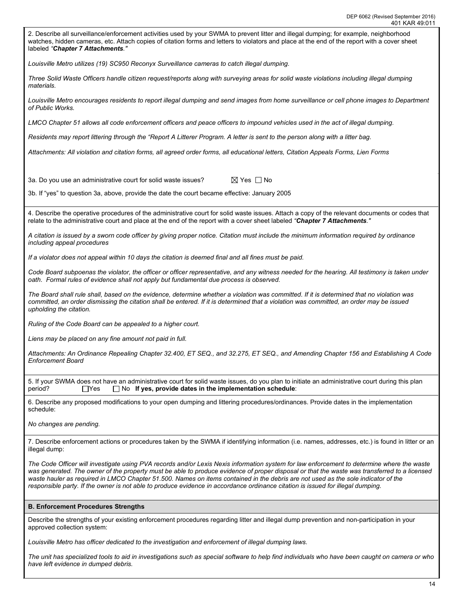

*Louisville Metro has officer dedicated to the investigation and enforcement of illegal dumping laws.* 

*The unit has specialized tools to aid in investigations such as special software to help find individuals who have been caught on camera or who have left evidence in dumped debris.*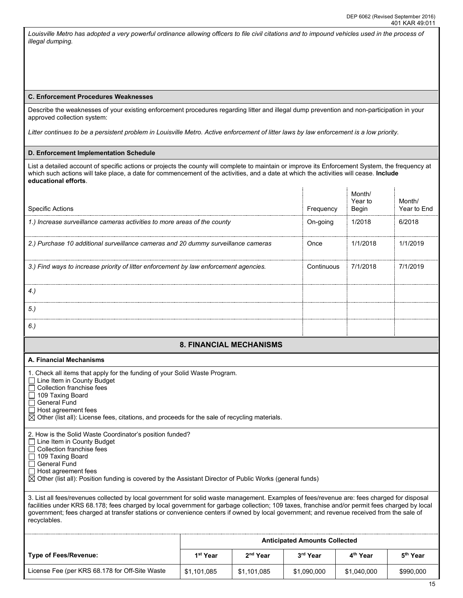*Louisville Metro has adopted a very powerful ordinance allowing officers to file civil citations and to impound vehicles used in the process of illegal dumping.* 

### **C. Enforcement Procedures Weaknesses**

Describe the weaknesses of your existing enforcement procedures regarding litter and illegal dump prevention and non-participation in your approved collection system:

*Litter continues to be a persistent problem in Louisville Metro. Active enforcement of litter laws by law enforcement is a low priority.* 

#### **D. Enforcement Implementation Schedule**

List a detailed account of specific actions or projects the county will complete to maintain or improve its Enforcement System, the frequency at which such actions will take place, a date for commencement of the activities, and a date at which the activities will cease. **Include educational efforts**.

| <b>Specific Actions</b>                                                                                                                                                                                                                                                                                                                                                                                                                                   |                                |                      | Frequency                            | Month/<br>Year to<br>Begin | Month/<br>Year to End |  |  |  |
|-----------------------------------------------------------------------------------------------------------------------------------------------------------------------------------------------------------------------------------------------------------------------------------------------------------------------------------------------------------------------------------------------------------------------------------------------------------|--------------------------------|----------------------|--------------------------------------|----------------------------|-----------------------|--|--|--|
| 1.) Increase surveillance cameras activities to more areas of the county                                                                                                                                                                                                                                                                                                                                                                                  |                                |                      | On-going                             | 1/2018                     | 6/2018                |  |  |  |
| 2.) Purchase 10 additional surveillance cameras and 20 dummy surveillance cameras                                                                                                                                                                                                                                                                                                                                                                         |                                |                      | Once                                 | 1/1/2018                   | 1/1/2019              |  |  |  |
| 3.) Find ways to increase priority of litter enforcement by law enforcement agencies.                                                                                                                                                                                                                                                                                                                                                                     |                                |                      | Continuous                           | 7/1/2018                   | 7/1/2019              |  |  |  |
| $4.$ )                                                                                                                                                                                                                                                                                                                                                                                                                                                    |                                |                      |                                      |                            |                       |  |  |  |
| 5.)                                                                                                                                                                                                                                                                                                                                                                                                                                                       |                                |                      |                                      |                            |                       |  |  |  |
| 6.)                                                                                                                                                                                                                                                                                                                                                                                                                                                       |                                |                      |                                      |                            |                       |  |  |  |
|                                                                                                                                                                                                                                                                                                                                                                                                                                                           | <b>8. FINANCIAL MECHANISMS</b> |                      |                                      |                            |                       |  |  |  |
| A. Financial Mechanisms                                                                                                                                                                                                                                                                                                                                                                                                                                   |                                |                      |                                      |                            |                       |  |  |  |
| 1. Check all items that apply for the funding of your Solid Waste Program.<br>$\Box$ Line Item in County Budget<br>Collection franchise fees<br>□ 109 Taxing Board<br>$\Box$ General Fund<br>Host agreement fees<br>$\boxtimes$ Other (list all): License fees, citations, and proceeds for the sale of recycling materials.                                                                                                                              |                                |                      |                                      |                            |                       |  |  |  |
| 2. How is the Solid Waste Coordinator's position funded?<br>$\Box$ Line Item in County Budget<br>Collection franchise fees<br>□ 109 Taxing Board<br>General Fund<br>$\Box$ Host agreement fees<br>$\boxtimes$ Other (list all): Position funding is covered by the Assistant Director of Public Works (general funds)                                                                                                                                     |                                |                      |                                      |                            |                       |  |  |  |
| 3. List all fees/revenues collected by local government for solid waste management. Examples of fees/revenue are: fees charged for disposal<br>facilities under KRS 68.178; fees charged by local government for garbage collection; 109 taxes, franchise and/or permit fees charged by local<br>government; fees charged at transfer stations or convenience centers if owned by local government; and revenue received from the sale of<br>recyclables. |                                |                      |                                      |                            |                       |  |  |  |
|                                                                                                                                                                                                                                                                                                                                                                                                                                                           |                                |                      | <b>Anticipated Amounts Collected</b> |                            |                       |  |  |  |
| <b>Type of Fees/Revenue:</b>                                                                                                                                                                                                                                                                                                                                                                                                                              | 1 <sup>st</sup> Year           | 2 <sup>nd</sup> Year | 3rd Year                             | 4 <sup>th</sup> Year       | 5 <sup>th</sup> Year  |  |  |  |
| License Fee (per KRS 68.178 for Off-Site Waste                                                                                                                                                                                                                                                                                                                                                                                                            | \$1,101,085                    | \$1,101,085          | \$1,090,000                          | \$1,040,000                | \$990,000             |  |  |  |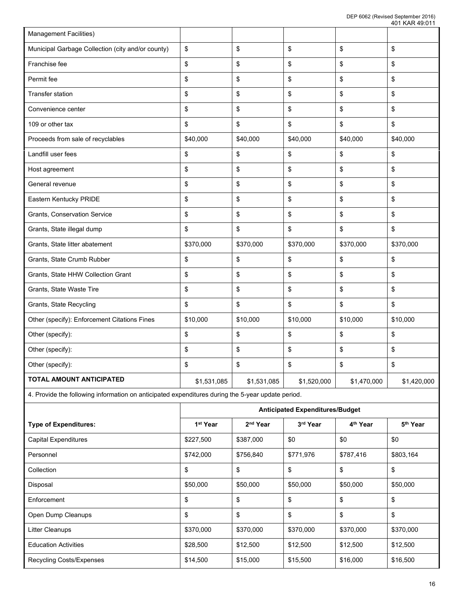| <b>Management Facilities)</b>                                                                     |                      |                      |                                        |                      |                      |
|---------------------------------------------------------------------------------------------------|----------------------|----------------------|----------------------------------------|----------------------|----------------------|
| Municipal Garbage Collection (city and/or county)                                                 | \$                   | \$                   | \$                                     | \$                   | \$                   |
| Franchise fee                                                                                     | \$                   | \$                   | \$                                     | \$                   | \$                   |
| Permit fee                                                                                        | \$                   | \$                   | \$                                     | \$                   | \$                   |
| <b>Transfer station</b>                                                                           | \$                   | \$                   | \$                                     | \$                   | \$                   |
| Convenience center                                                                                | \$                   | \$                   | \$                                     | \$                   | \$                   |
| 109 or other tax                                                                                  | \$                   | \$                   | \$                                     | \$                   | \$                   |
| Proceeds from sale of recyclables                                                                 | \$40,000             | \$40,000             | \$40,000                               | \$40,000             | \$40,000             |
| Landfill user fees                                                                                | \$                   | \$                   | \$                                     | \$                   | \$                   |
| Host agreement                                                                                    | \$                   | \$                   | \$                                     | \$                   | \$                   |
| General revenue                                                                                   | \$                   | \$                   | \$                                     | \$                   | \$                   |
| Eastern Kentucky PRIDE                                                                            | \$                   | \$                   | \$                                     | \$                   | \$                   |
| <b>Grants, Conservation Service</b>                                                               | \$                   | \$                   | \$                                     | \$                   | \$                   |
| Grants, State illegal dump                                                                        | \$                   | \$                   | \$                                     | \$                   | \$                   |
| Grants, State litter abatement                                                                    | \$370,000            | \$370,000            | \$370,000                              | \$370,000            | \$370,000            |
| Grants, State Crumb Rubber                                                                        | \$                   | \$                   | \$                                     | \$                   | \$                   |
| Grants, State HHW Collection Grant                                                                | \$                   | \$                   | \$                                     | \$                   | \$                   |
| Grants, State Waste Tire                                                                          | \$                   | \$                   | \$                                     | \$                   | \$                   |
| Grants, State Recycling                                                                           | \$                   | \$                   | \$                                     | \$                   | \$                   |
| Other (specify): Enforcement Citations Fines                                                      | \$10,000             | \$10,000             | \$10,000                               | \$10,000             | \$10,000             |
| Other (specify):                                                                                  | \$                   | \$                   | \$                                     | \$                   | \$                   |
| Other (specify):                                                                                  | \$                   | \$                   | \$                                     | \$                   | \$                   |
| Other (specify):                                                                                  | \$                   | \$                   | ¢                                      | \$                   | \$                   |
| TOTAL AMOUNT ANTICIPATED                                                                          | \$1,531,085          | \$1,531,085          | \$1,520,000                            | \$1,470,000          | \$1,420,000          |
| 4. Provide the following information on anticipated expenditures during the 5-year update period. |                      |                      |                                        |                      |                      |
|                                                                                                   |                      |                      | <b>Anticipated Expenditures/Budget</b> |                      |                      |
| <b>Type of Expenditures:</b>                                                                      | 1 <sup>st</sup> Year | 2 <sup>nd</sup> Year | 3rd Year                               | 4 <sup>th</sup> Year | 5 <sup>th</sup> Year |
| <b>Capital Expenditures</b>                                                                       | \$227,500            | \$387,000            | \$0                                    | \$0                  | \$0                  |
| Personnel                                                                                         | \$742,000            | \$756,840            | \$771,976                              | \$787,416            | \$803,164            |

| <b>Ouphar Exportance</b>        | $V - V - V - V - V$ | 000, 100  |           |           |           |
|---------------------------------|---------------------|-----------|-----------|-----------|-----------|
| Personnel                       | \$742,000           | \$756,840 | \$771,976 | \$787,416 | \$803,164 |
| Collection                      | \$                  | \$        | \$        | \$        | \$        |
| Disposal                        | \$50,000            | \$50,000  | \$50,000  | \$50,000  | \$50,000  |
| Enforcement                     | \$                  | \$        | \$        | \$        | \$        |
| Open Dump Cleanups              | \$                  | \$        | \$        | \$        | \$        |
| Litter Cleanups                 | \$370,000           | \$370,000 | \$370,000 | \$370,000 | \$370,000 |
| <b>Education Activities</b>     | \$28,500            | \$12,500  | \$12,500  | \$12,500  | \$12,500  |
| <b>Recycling Costs/Expenses</b> | \$14,500            | \$15,000  | \$15,500  | \$16,000  | \$16,500  |